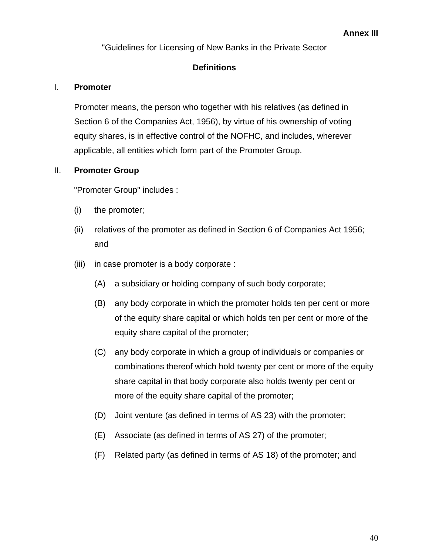"Guidelines for Licensing of New Banks in the Private Sector

## **Definitions**

## I. **Promoter**

Promoter means, the person who together with his relatives (as defined in Section 6 of the Companies Act, 1956), by virtue of his ownership of voting equity shares, is in effective control of the NOFHC, and includes, wherever applicable, all entities which form part of the Promoter Group.

## II. **Promoter Group**

"Promoter Group" includes :

- (i) the promoter;
- (ii) relatives of the promoter as defined in Section 6 of Companies Act 1956; and
- (iii) in case promoter is a body corporate :
	- (A) a subsidiary or holding company of such body corporate;
	- (B) any body corporate in which the promoter holds ten per cent or more of the equity share capital or which holds ten per cent or more of the equity share capital of the promoter;
	- (C) any body corporate in which a group of individuals or companies or combinations thereof which hold twenty per cent or more of the equity share capital in that body corporate also holds twenty per cent or more of the equity share capital of the promoter;
	- (D) Joint venture (as defined in terms of AS 23) with the promoter;
	- (E) Associate (as defined in terms of AS 27) of the promoter;
	- (F) Related party (as defined in terms of AS 18) of the promoter; and